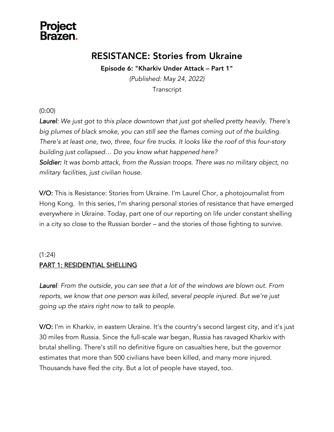

### RESISTANCE: Stories from Ukraine

Episode 6: "Kharkiv Under Attack – Part 1"

*(Published: May 24, 2022)* **Transcript** 

(0:00)

*Laurel: We just got to this place downtown that just got shelled pretty heavily. There's big plumes of black smoke, you can still see the flames coming out of the building. There's at least one, two, three, four fire trucks. It looks like the roof of this four-story building just collapsed… Do you know what happened here? Soldier: It was bomb attack, from the Russian troops. There was no military object, no military facilities, just civilian house.*

V/O: This is Resistance: Stories from Ukraine. I'm Laurel Chor, a photojournalist from Hong Kong. In this series, I'm sharing personal stories of resistance that have emerged everywhere in Ukraine. Today, part one of our reporting on life under constant shelling in a city so close to the Russian border – and the stories of those fighting to survive.

#### (1:24)

#### PART 1: RESIDENTIAL SHELLING

*Laurel: From the outside, you can see that a lot of the windows are blown out. From reports, we know that one person was killed, several people injured. But we're just going up the stairs right now to talk to people.*

V/O: I'm in Kharkiv, in eastern Ukraine. It's the country's second largest city, and it's just 30 miles from Russia. Since the full-scale war began, Russia has ravaged Kharkiv with brutal shelling. There's still no definitive figure on casualties here, but the governor estimates that more than 500 civilians have been killed, and many more injured. Thousands have fled the city. But a lot of people have stayed, too.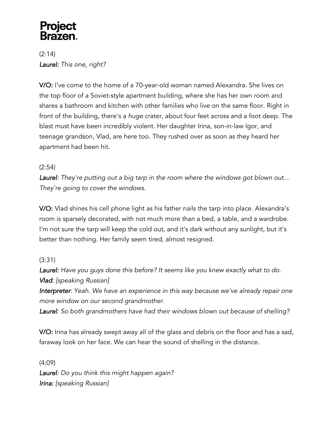(2:14) *Laurel: This one, right?* 

V/O: I've come to the home of a 70-year-old woman named Alexandra. She lives on the top floor of a Soviet-style apartment building, where she has her own room and shares a bathroom and kitchen with other families who live on the same floor. Right in front of the building, there's a *huge* crater, about four feet across and a foot deep. The blast must have been incredibly violent. Her daughter Irina, son-in-law Igor, and teenage grandson, Vlad, are here too. They rushed over as soon as they heard her apartment had been hit.

#### (2:54)

*Laurel: They're putting out a big tarp in the room where the windows got blown out… They're going to cover the windows.* 

V/O: Vlad shines his cell phone light as his father nails the tarp into place. Alexandra's room is sparsely decorated, with not much more than a bed, a table, and a wardrobe. I'm not sure the tarp will keep the cold out, and it's dark without any sunlight, but it's better than nothing. Her family seem tired, almost resigned.

#### (3:31)

*Laurel: Have you guys done this before? It seems like you knew exactly what to do. Vlad: [speaking Russian]*

*Interpreter: Yeah. We have an experience in this way because we've already repair one more window on our second grandmother.* 

*Laurel: So both grandmothers have had their windows blown out because of shelling?*

V/O: Irina has already swept away all of the glass and debris on the floor and has a sad, faraway look on her face. We can hear the sound of shelling in the distance.

(4:09) *Laurel: Do you think this might happen again? Irina: [speaking Russian]*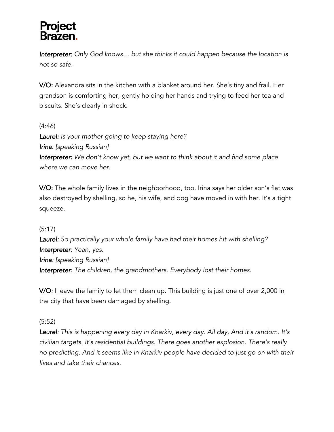*Interpreter: Only God knows… but she thinks it could happen because the location is not so safe.* 

V/O: Alexandra sits in the kitchen with a blanket around her. She's tiny and frail. Her grandson is comforting her, gently holding her hands and trying to feed her tea and biscuits. She's clearly in shock.

#### (4:46)

*Laurel: Is your mother going to keep staying here? Irina: [speaking Russian] Interpreter: We don't know yet, but we want to think about it and find some place where we can move her.*

V/O: The whole family lives in the neighborhood, too. Irina says her older son's flat was also destroyed by shelling, so he, his wife, and dog have moved in with her. It's a tight squeeze.

#### (5:17)

*Laurel: So practically your whole family have had their homes hit with shelling? Interpreter: Yeah, yes. Irina: [speaking Russian] Interpreter: The children, the grandmothers. Everybody lost their homes.*

V/O*:* I leave the family to let them clean up. This building is just one of over 2,000 in the city that have been damaged by shelling.

#### (5:52)

*Laurel: This is happening every day in Kharkiv, every day. All day, And it's random. It's civilian targets. It's residential buildings. There goes another explosion. There's really no predicting. And it seems like in Kharkiv people have decided to just go on with their lives and take their chances.*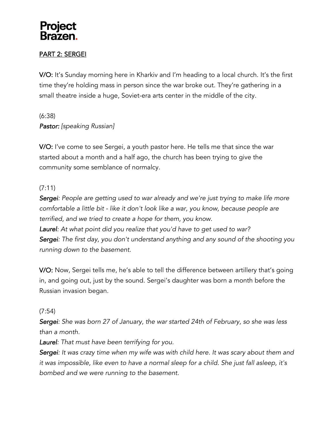#### PART 2: SERGEI

V/O: It's Sunday morning here in Kharkiv and I'm heading to a local church. It's the first time they're holding mass in person since the war broke out. They're gathering in a small theatre inside a huge, Soviet-era arts center in the middle of the city.

(6:38) *Pastor: [speaking Russian]*

V/O: I've come to see Sergei, a youth pastor here. He tells me that since the war started about a month and a half ago, the church has been trying to give the community some semblance of normalcy.

#### (7:11)

*Sergei: People are getting used to war already and we're just trying to make life more comfortable a little bit - like it don't look like a war, you know, because people are terrified, and we tried to create a hope for them, you know. Laurel: At what point did you realize that you'd have to get used to war? Sergei: The first day, you don't understand anything and any sound of the shooting you running down to the basement.*

V/O: Now, Sergei tells me, he's able to tell the difference between artillery that's going in, and going out, just by the sound. Sergei's daughter was born a month before the Russian invasion began.

#### (7:54)

*Sergei: She was born 27 of January, the war started 24th of February, so she was less than a month.*

*Laurel: That must have been terrifying for you.*

*Sergei: It was crazy time when my wife was with child here. It was scary about them and it was impossible, like even to have a normal sleep for a child. She just fall asleep, it's bombed and we were running to the basement.*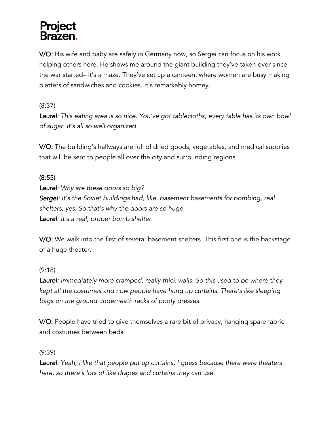V/O: His wife and baby are safely in Germany now, so Sergei can focus on his work helping others here. He shows me around the giant building they've taken over since the war started– it's a maze. They've set up a canteen, where women are busy making platters of sandwiches and cookies. It's remarkably homey.

(8:37)

*Laurel: This eating area is so nice. You've got tablecloths, every table has its own bowl of sugar. It's all so well organized.*

V/O: The building's hallways are full of dried goods, vegetables, and medical supplies that will be sent to people all over the city and surrounding regions.

#### (8:55)

*Laurel: Why are these doors so big? Sergei: It's the Soviet buildings had, like, basement basements for bombing, real shelters, yes. So that's why the doors are so huge. Laurel: It's a real, proper bomb shelter.* 

V/O: We walk into the first of several basement shelters. This first one is the backstage of a huge theater.

#### (9:18)

*Laurel: Immediately more cramped, really thick walls. So this used to be where they kept all the costumes and now people have hung up curtains. There's like sleeping bags on the ground underneath racks of poofy dresses.*

V/O: People have tried to give themselves a rare bit of privacy, hanging spare fabric and costumes between beds.

(9:39)

*Laurel: Yeah, I like that people put up curtains, I guess because there were theaters here, so there's lots of like drapes and curtains they can use.*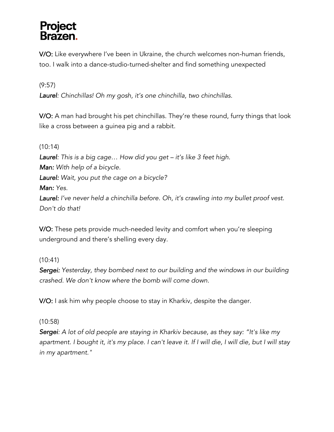### **Project** <u>Rrazen </u>

V/O: Like everywhere I've been in Ukraine, the church welcomes non-human friends, too. I walk into a dance-studio-turned-shelter and find something unexpected

#### (9:57)

*Laurel: Chinchillas! Oh my gosh, it's one chinchilla, two chinchillas.*

V/O: A man had brought his pet chinchillas. They're these round, furry things that look like a cross between a guinea pig and a rabbit.

#### (10:14)

*Laurel: This is a big cage… How did you get – it's like 3 feet high. Man: With help of a bicycle. Laurel: Wait, you put the cage on a bicycle? Man: Yes.*

*Laurel: I've never held a chinchilla before. Oh, it's crawling into my bullet proof vest. Don't do that!*

V/O: These pets provide much-needed levity and comfort when you're sleeping underground and there's shelling every day.

#### (10:41)

*Sergei: Yesterday, they bombed next to our building and the windows in our building crashed. We don't know where the bomb will come down.* 

V/O: I ask him why people choose to stay in Kharkiv, despite the danger.

#### (10:58)

*Sergei: A lot of old people are staying in Kharkiv because, as they say: "It's like my*  apartment. I bought it, it's my place. I can't leave it. If I will die, I will die, but I will stay *in my apartment."*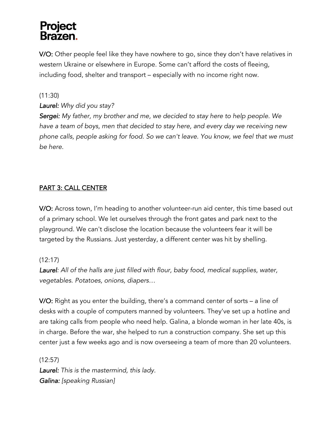V/O: Other people feel like they have nowhere to go, since they don't have relatives in western Ukraine or elsewhere in Europe. Some can't afford the costs of fleeing, including food, shelter and transport – especially with no income right now.

(11:30)

#### *Laurel: Why did you stay?*

*Sergei: My father, my brother and me, we decided to stay here to help people. We have a team of boys, men that decided to stay here, and every day we receiving new phone calls, people asking for food. So we can't leave. You know, we feel that we must be here.* 

#### PART 3: CALL CENTER

V/O: Across town, I'm heading to another volunteer-run aid center, this time based out of a primary school. We let ourselves through the front gates and park next to the playground. We can't disclose the location because the volunteers fear it will be targeted by the Russians. Just yesterday, a different center was hit by shelling.

#### (12:17)

*Laurel: All of the halls are just filled with flour, baby food, medical supplies, water, vegetables. Potatoes, onions, diapers…*

V/O: Right as you enter the building, there's a command center of sorts – a line of desks with a couple of computers manned by volunteers. They've set up a hotline and are taking calls from people who need help. Galina, a blonde woman in her late 40s, is in charge. Before the war, she helped to run a construction company. She set up this center just a few weeks ago and is now overseeing a team of more than 20 volunteers.

(12:57) *Laurel: This is the mastermind, this lady. Galina: [speaking Russian]*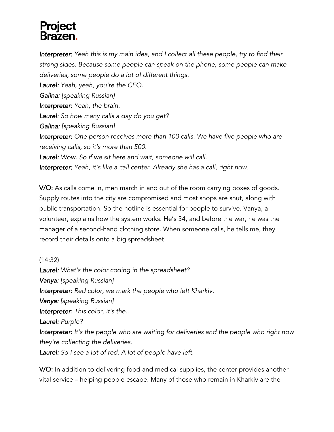*Interpreter: Yeah this is my main idea, and I collect all these people, try to find their strong sides. Because some people can speak on the phone, some people can make deliveries, some people do a lot of different things.* 

*Laurel: Yeah, yeah, you're the CEO.*

*Galina: [speaking Russian]* 

*Interpreter: Yeah, the brain.*

*Laurel: So how many calls a day do you get?*

*Galina: [speaking Russian]* 

*Interpreter: One person receives more than 100 calls. We have five people who are receiving calls, so it's more than 500.*

*Laurel: Wow. So if we sit here and wait, someone will call.*

*Interpreter: Yeah, it's like a call center. Already she has a call, right now.* 

V/O: As calls come in, men march in and out of the room carrying boxes of goods. Supply routes into the city are compromised and most shops are shut, along with public transportation. So the hotline is essential for people to survive. Vanya, a volunteer, explains how the system works. He's 34, and before the war, he was the manager of a second-hand clothing store. When someone calls, he tells me, they record their details onto a big spreadsheet.

(14:32)

*Laurel: What's the color coding in the spreadsheet? Vanya: [speaking Russian] Interpreter: Red color, we mark the people who left Kharkiv. Vanya: [speaking Russian] Interpreter: This color, it's the... Laurel: Purple? Interpreter: It's the people who are waiting for deliveries and the people who right now they're collecting the deliveries. Laurel: So I see a lot of red. A lot of people have left.*

V/O: In addition to delivering food and medical supplies, the center provides another vital service – helping people escape. Many of those who remain in Kharkiv are the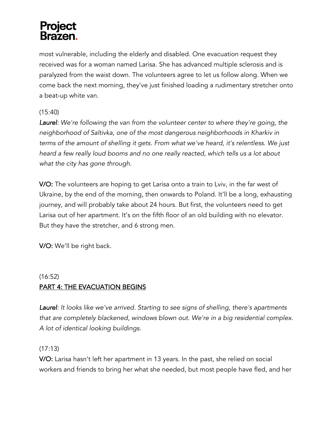most vulnerable, including the elderly and disabled. One evacuation request they received was for a woman named Larisa. She has advanced multiple sclerosis and is paralyzed from the waist down. The volunteers agree to let us follow along. When we come back the next morning, they've just finished loading a rudimentary stretcher onto a beat-up white van.

#### (15:40)

*Laurel: We're following the van from the volunteer center to where they're going, the neighborhood of Saltivka, one of the most dangerous neighborhoods in Kharkiv in terms of the amount of shelling it gets. From what we've heard, it's relentless. We just heard a few really loud booms and no one really reacted, which tells us a lot about what the city has gone through.*

V/O: The volunteers are hoping to get Larisa onto a train to Lviv, in the far west of Ukraine, by the end of the morning, then onwards to Poland. It'll be a long, exhausting journey, and will probably take about 24 hours. But first, the volunteers need to get Larisa out of her apartment. It's on the fifth floor of an old building with no elevator. But they have the stretcher, and 6 strong men.

V/O: We'll be right back.

#### (16:52) PART 4: THE EVACUATION BEGINS

*Laurel: It looks like we've arrived. Starting to see signs of shelling, there's apartments that are completely blackened, windows blown out. We're in a big residential complex. A lot of identical looking buildings.*

#### $(17:13)$

V/O: Larisa hasn't left her apartment in 13 years. In the past, she relied on social workers and friends to bring her what she needed, but most people have fled, and her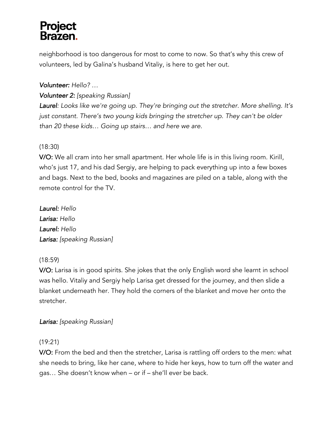neighborhood is too dangerous for most to come to now. So that's why this crew of volunteers, led by Galina's husband Vitaliy, is here to get her out.

#### *Volunteer: Hello? …*

#### *Volunteer 2: [speaking Russian]*

*Laurel: Looks like we're going up. They're bringing out the stretcher. More shelling. It's just constant. There's two young kids bringing the stretcher up. They can't be older than 20 these kids… Going up stairs… and here we are.* 

#### (18:30)

V/O: We all cram into her small apartment. Her whole life is in this living room. Kirill, who's just 17, and his dad Sergiy, are helping to pack everything up into a few boxes and bags. Next to the bed, books and magazines are piled on a table, along with the remote control for the TV.

*Laurel: Hello Larisa: Hello Laurel: Hello Larisa: [speaking Russian]*

#### (18:59)

V/O: Larisa is in good spirits. She jokes that the only English word she learnt in school was hello. Vitaliy and Sergiy help Larisa get dressed for the journey, and then slide a blanket underneath her. They hold the corners of the blanket and move her onto the stretcher.

#### *Larisa: [speaking Russian]*

#### (19:21)

V/O: From the bed and then the stretcher, Larisa is rattling off orders to the men: what she needs to bring, like her cane, where to hide her keys, how to turn off the water and gas… She doesn't know when – or if – she'll ever be back.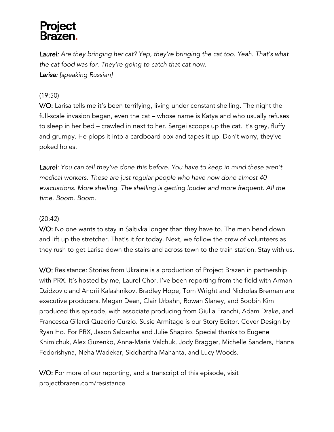*Laurel: Are they bringing her cat? Yep, they're bringing the cat too. Yeah. That's what the cat food was for. They're going to catch that cat now. Larisa: [speaking Russian]*

#### (19:50)

V/O: Larisa tells me it's been terrifying, living under constant shelling. The night the full-scale invasion began, even the cat – whose name is Katya and who usually refuses to sleep in her bed – crawled in next to her. Sergei scoops up the cat. It's grey, fluffy and grumpy. He plops it into a cardboard box and tapes it up. Don't worry, they've poked holes.

*Laurel: You can tell they've done this before. You have to keep in mind these aren't medical workers. These are just regular people who have now done almost 40 evacuations. More shelling. The shelling is getting louder and more frequent. All the time. Boom. Boom.* 

#### (20:42)

V/O: No one wants to stay in Saltivka longer than they have to. The men bend down and lift up the stretcher. That's it for today. Next, we follow the crew of volunteers as they rush to get Larisa down the stairs and across town to the train station. Stay with us.

V/O: Resistance: Stories from Ukraine is a production of Project Brazen in partnership with PRX. It's hosted by me, Laurel Chor. I've been reporting from the field with Arman Dzidzovic and Andrii Kalashnikov. Bradley Hope, Tom Wright and Nicholas Brennan are executive producers. Megan Dean, Clair Urbahn, Rowan Slaney, and Soobin Kim produced this episode, with associate producing from Giulia Franchi, Adam Drake, and Francesca Gilardi Quadrio Curzio. Susie Armitage is our Story Editor. Cover Design by Ryan Ho. For PRX, Jason Saldanha and Julie Shapiro. Special thanks to Eugene Khimichuk, Alex Guzenko, Anna-Maria Valchuk, Jody Bragger, Michelle Sanders, Hanna Fedorishyna, Neha Wadekar, Siddhartha Mahanta, and Lucy Woods.

V/O: For more of our reporting, and a transcript of this episode, visit projectbrazen.com/resistance